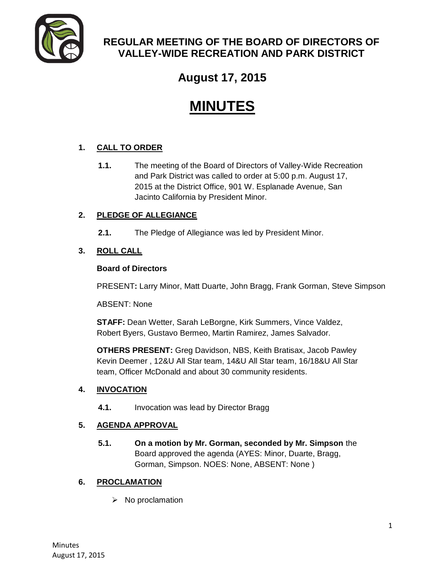

## **REGULAR MEETING OF THE BOARD OF DIRECTORS OF VALLEY-WIDE RECREATION AND PARK DISTRICT**

**August 17, 2015**

# **MINUTES**

### **1. CALL TO ORDER**

**1.1.** The meeting of the Board of Directors of Valley-Wide Recreation and Park District was called to order at 5:00 p.m. August 17, 2015 at the District Office, 901 W. Esplanade Avenue, San Jacinto California by President Minor.

#### **2. PLEDGE OF ALLEGIANCE**

**2.1.** The Pledge of Allegiance was led by President Minor.

#### **3. ROLL CALL**

#### **Board of Directors**

PRESENT**:** Larry Minor, Matt Duarte, John Bragg, Frank Gorman, Steve Simpson

ABSENT: None

**STAFF:** Dean Wetter, Sarah LeBorgne, Kirk Summers, Vince Valdez, Robert Byers, Gustavo Bermeo, Martin Ramirez, James Salvador.

**OTHERS PRESENT:** Greg Davidson, NBS, Keith Bratisax, Jacob Pawley Kevin Deemer , 12&U All Star team, 14&U All Star team, 16/18&U All Star team, Officer McDonald and about 30 community residents.

#### **4. INVOCATION**

**4.1.** Invocation was lead by Director Bragg

#### **5. AGENDA APPROVAL**

**5.1. On a motion by Mr. Gorman, seconded by Mr. Simpson** the Board approved the agenda (AYES: Minor, Duarte, Bragg, Gorman, Simpson. NOES: None, ABSENT: None )

#### **6. PROCLAMATION**

 $\triangleright$  No proclamation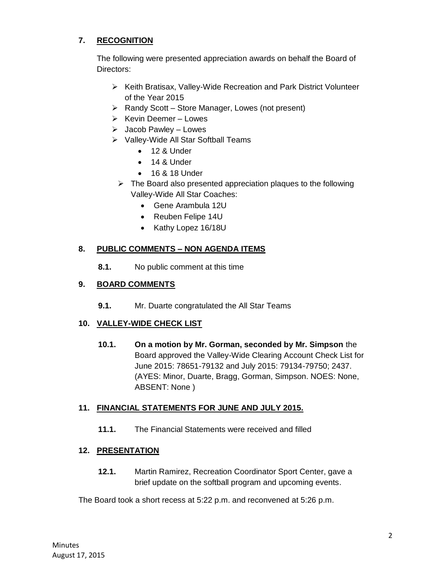#### **7. RECOGNITION**

The following were presented appreciation awards on behalf the Board of Directors:

- Keith Bratisax, Valley-Wide Recreation and Park District Volunteer of the Year 2015
- $\triangleright$  Randy Scott Store Manager, Lowes (not present)
- $\triangleright$  Kevin Deemer Lowes
- $\triangleright$  Jacob Pawley Lowes
- ▶ Valley-Wide All Star Softball Teams
	- 12 & Under
	- $\bullet$  14 & Under
	- 16 & 18 Under
- $\triangleright$  The Board also presented appreciation plaques to the following Valley-Wide All Star Coaches:
	- Gene Arambula 12U
	- Reuben Felipe 14U
	- Kathy Lopez 16/18U

#### **8. PUBLIC COMMENTS – NON AGENDA ITEMS**

**8.1.** No public comment at this time

#### **9. BOARD COMMENTS**

**9.1.** Mr. Duarte congratulated the All Star Teams

#### **10. VALLEY-WIDE CHECK LIST**

**10.1. On a motion by Mr. Gorman, seconded by Mr. Simpson** the Board approved the Valley-Wide Clearing Account Check List for June 2015: 78651-79132 and July 2015: 79134-79750; 2437. (AYES: Minor, Duarte, Bragg, Gorman, Simpson. NOES: None, ABSENT: None )

#### **11. FINANCIAL STATEMENTS FOR JUNE AND JULY 2015.**

**11.1.** The Financial Statements were received and filled

#### **12. PRESENTATION**

**12.1.** Martin Ramirez, Recreation Coordinator Sport Center, gave a brief update on the softball program and upcoming events.

The Board took a short recess at 5:22 p.m. and reconvened at 5:26 p.m.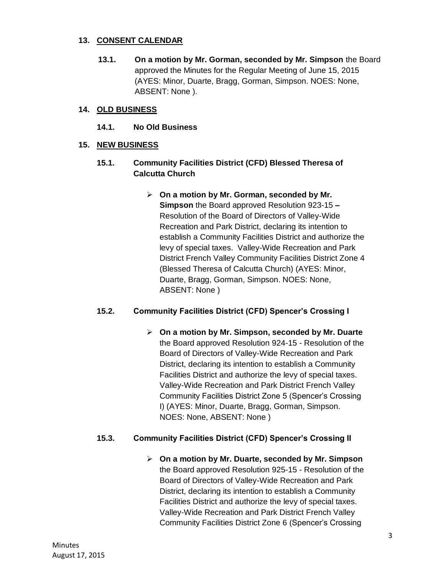#### **13. CONSENT CALENDAR**

**13.1. On a motion by Mr. Gorman, seconded by Mr. Simpson** the Board approved the Minutes for the Regular Meeting of June 15, 2015 (AYES: Minor, Duarte, Bragg, Gorman, Simpson. NOES: None, ABSENT: None ).

#### **14. OLD BUSINESS**

**14.1. No Old Business** 

#### **15. NEW BUSINESS**

- **15.1. Community Facilities District (CFD) Blessed Theresa of Calcutta Church** 
	- **On a motion by Mr. Gorman, seconded by Mr. Simpson** the Board approved Resolution 923-15 **–** Resolution of the Board of Directors of Valley-Wide Recreation and Park District, declaring its intention to establish a Community Facilities District and authorize the levy of special taxes. Valley-Wide Recreation and Park District French Valley Community Facilities District Zone 4 (Blessed Theresa of Calcutta Church) (AYES: Minor, Duarte, Bragg, Gorman, Simpson. NOES: None, ABSENT: None )

#### **15.2. Community Facilities District (CFD) Spencer's Crossing I**

 **On a motion by Mr. Simpson, seconded by Mr. Duarte**  the Board approved Resolution 924-15 - Resolution of the Board of Directors of Valley-Wide Recreation and Park District, declaring its intention to establish a Community Facilities District and authorize the levy of special taxes. Valley-Wide Recreation and Park District French Valley Community Facilities District Zone 5 (Spencer's Crossing I) (AYES: Minor, Duarte, Bragg, Gorman, Simpson. NOES: None, ABSENT: None )

#### **15.3. Community Facilities District (CFD) Spencer's Crossing II**

 **On a motion by Mr. Duarte, seconded by Mr. Simpson**  the Board approved Resolution 925-15 - Resolution of the Board of Directors of Valley-Wide Recreation and Park District, declaring its intention to establish a Community Facilities District and authorize the levy of special taxes. Valley-Wide Recreation and Park District French Valley Community Facilities District Zone 6 (Spencer's Crossing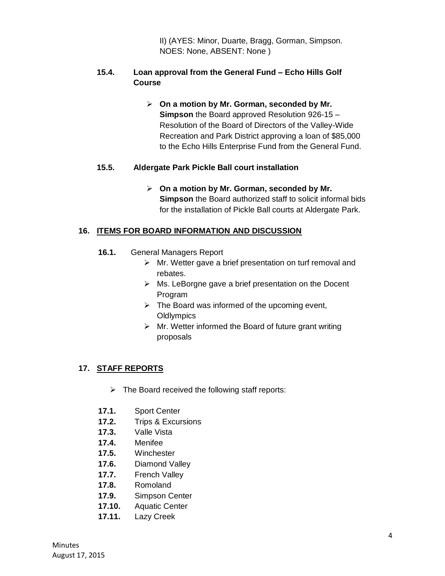II) (AYES: Minor, Duarte, Bragg, Gorman, Simpson. NOES: None, ABSENT: None )

#### **15.4. Loan approval from the General Fund – Echo Hills Golf Course**

 **On a motion by Mr. Gorman, seconded by Mr. Simpson** the Board approved Resolution 926-15 – Resolution of the Board of Directors of the Valley-Wide Recreation and Park District approving a loan of \$85,000 to the Echo Hills Enterprise Fund from the General Fund.

#### **15.5. Aldergate Park Pickle Ball court installation**

 **On a motion by Mr. Gorman, seconded by Mr. Simpson** the Board authorized staff to solicit informal bids for the installation of Pickle Ball courts at Aldergate Park.

#### **16. ITEMS FOR BOARD INFORMATION AND DISCUSSION**

- **16.1.** General Managers Report
	- $\triangleright$  Mr. Wetter gave a brief presentation on turf removal and rebates.
	- $\triangleright$  Ms. LeBorgne gave a brief presentation on the Docent Program
	- $\triangleright$  The Board was informed of the upcoming event, **Oldlympics**
	- $\triangleright$  Mr. Wetter informed the Board of future grant writing proposals

#### **17. STAFF REPORTS**

- $\triangleright$  The Board received the following staff reports:
- **17.1.** Sport Center
- **17.2.** Trips & Excursions
- **17.3.** Valle Vista
- **17.4.** Menifee
- **17.5.** Winchester
- **17.6.** Diamond Valley
- **17.7.** French Valley
- **17.8.** Romoland
- **17.9.** Simpson Center
- **17.10.** Aquatic Center
- **17.11.** Lazy Creek